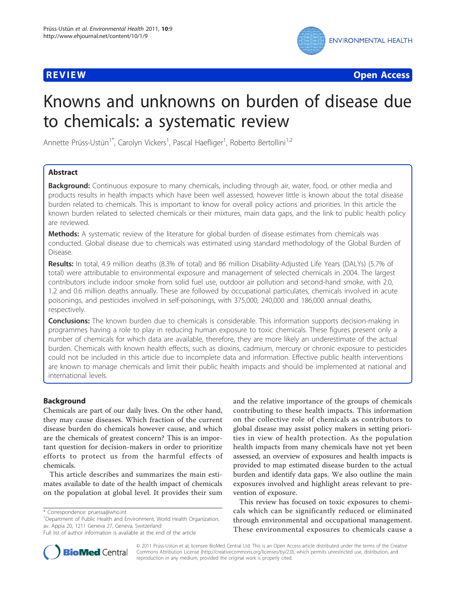

REVIEW Open Access

# Knowns and unknowns on burden of disease due to chemicals: a systematic review

Annette Prüss-Ustün<sup>1\*</sup>, Carolyn Vickers<sup>1</sup>, Pascal Haefliger<sup>1</sup>, Roberto Bertollini<sup>1,2</sup>

# Abstract

**Background:** Continuous exposure to many chemicals, including through air, water, food, or other media and products results in health impacts which have been well assessed, however little is known about the total disease burden related to chemicals. This is important to know for overall policy actions and priorities. In this article the known burden related to selected chemicals or their mixtures, main data gaps, and the link to public health policy are reviewed.

Methods: A systematic review of the literature for global burden of disease estimates from chemicals was conducted. Global disease due to chemicals was estimated using standard methodology of the Global Burden of Disease.

Results: In total, 4.9 million deaths (8.3% of total) and 86 million Disability-Adjusted Life Years (DALYs) (5.7% of total) were attributable to environmental exposure and management of selected chemicals in 2004. The largest contributors include indoor smoke from solid fuel use, outdoor air pollution and second-hand smoke, with 2.0, 1.2 and 0.6 million deaths annually. These are followed by occupational particulates, chemicals involved in acute poisonings, and pesticides involved in self-poisonings, with 375,000, 240,000 and 186,000 annual deaths, respectively.

**Conclusions:** The known burden due to chemicals is considerable. This information supports decision-making in programmes having a role to play in reducing human exposure to toxic chemicals. These figures present only a number of chemicals for which data are available, therefore, they are more likely an underestimate of the actual burden. Chemicals with known health effects, such as dioxins, cadmium, mercury or chronic exposure to pesticides could not be included in this article due to incomplete data and information. Effective public health interventions are known to manage chemicals and limit their public health impacts and should be implemented at national and international levels.

# Background

Chemicals are part of our daily lives. On the other hand, they may cause diseases. Which fraction of the current disease burden do chemicals however cause, and which are the chemicals of greatest concern? This is an important question for decision-makers in order to prioritize efforts to protect us from the harmful effects of chemicals.

This article describes and summarizes the main estimates available to date of the health impact of chemicals on the population at global level. It provides their sum and the relative importance of the groups of chemicals contributing to these health impacts. This information on the collective role of chemicals as contributors to global disease may assist policy makers in setting priorities in view of health protection. As the population health impacts from many chemicals have not yet been assessed, an overview of exposures and health impacts is provided to map estimated disease burden to the actual burden and identify data gaps. We also outline the main exposures involved and highlight areas relevant to prevention of exposure.

This review has focused on toxic exposures to chemicals which can be significantly reduced or eliminated through environmental and occupational management. These environmental exposures to chemicals cause a



© 2011 Prüss-Ustün et al; licensee BioMed Central Ltd. This is an Open Access article distributed under the terms of the Creative Commons Attribution License [\(http://creativecommons.org/licenses/by/2.0](http://creativecommons.org/licenses/by/2.0)), which permits unrestricted use, distribution, and reproduction in any medium, provided the original work is properly cited.

<sup>\*</sup> Correspondence: [pruessa@who.int](mailto:pruessa@who.int)

<sup>&</sup>lt;sup>1</sup>Department of Public Health and Environment, World Health Organization, av. Appia 20, 1211 Geneva 27, Geneva, Switzerland

Full list of author information is available at the end of the article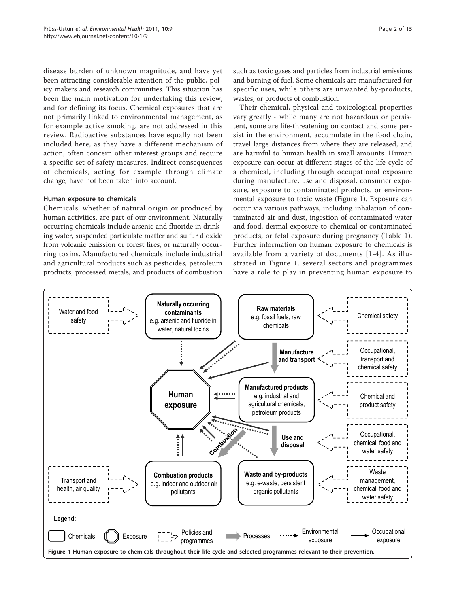<span id="page-1-0"></span>disease burden of unknown magnitude, and have yet been attracting considerable attention of the public, policy makers and research communities. This situation has been the main motivation for undertaking this review, and for defining its focus. Chemical exposures that are not primarily linked to environmental management, as for example active smoking, are not addressed in this review. Radioactive substances have equally not been included here, as they have a different mechanism of action, often concern other interest groups and require a specific set of safety measures. Indirect consequences of chemicals, acting for example through climate change, have not been taken into account.

#### Human exposure to chemicals

Chemicals, whether of natural origin or produced by human activities, are part of our environment. Naturally occurring chemicals include arsenic and fluoride in drinking water, suspended particulate matter and sulfur dioxide from volcanic emission or forest fires, or naturally occurring toxins. Manufactured chemicals include industrial and agricultural products such as pesticides, petroleum products, processed metals, and products of combustion such as toxic gases and particles from industrial emissions and burning of fuel. Some chemicals are manufactured for specific uses, while others are unwanted by-products, wastes, or products of combustion.

Their chemical, physical and toxicological properties vary greatly - while many are not hazardous or persistent, some are life-threatening on contact and some persist in the environment, accumulate in the food chain, travel large distances from where they are released, and are harmful to human health in small amounts. Human exposure can occur at different stages of the life-cycle of a chemical, including through occupational exposure during manufacture, use and disposal, consumer exposure, exposure to contaminated products, or environmental exposure to toxic waste (Figure 1). Exposure can occur via various pathways, including inhalation of contaminated air and dust, ingestion of contaminated water and food, dermal exposure to chemical or contaminated products, or fetal exposure during pregnancy (Table [1](#page-2-0)). Further information on human exposure to chemicals is available from a variety of documents [[1-4\]](#page-12-0). As illustrated in Figure 1, several sectors and programmes have a role to play in preventing human exposure to

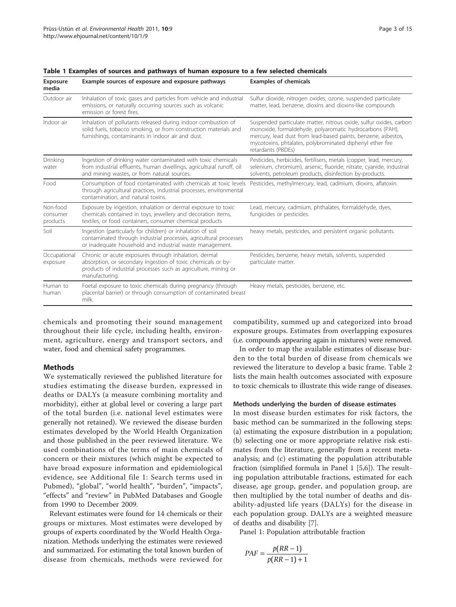| <b>Exposure</b><br>media         | Example sources of exposure and exposure pathways                                                                                                                                                          | <b>Examples of chemicals</b>                                                                                                                                                                                                                                                       |  |
|----------------------------------|------------------------------------------------------------------------------------------------------------------------------------------------------------------------------------------------------------|------------------------------------------------------------------------------------------------------------------------------------------------------------------------------------------------------------------------------------------------------------------------------------|--|
| Outdoor air                      | Inhalation of toxic gases and particles from vehicle and industrial<br>emissions, or naturally occurring sources such as volcanic<br>emission or forest fires.                                             | Sulfur dioxide, nitrogen oxides, ozone, suspended particulate<br>matter, lead, benzene, dioxins and dioxins-like compounds                                                                                                                                                         |  |
| Indoor air                       | Inhalation of pollutants released during indoor combustion of<br>solid fuels, tobacco smoking, or from construction materials and<br>furnishings, contaminants in indoor air and dust.                     | Suspended particulate matter, nitrous oxide, sulfur oxides, carbon<br>monoxide, formaldehyde, polyaromatic hydrocarbons (PAH),<br>mercury, lead dust from lead-based paints, benzene, asbestos,<br>mycotoxins, phtalates, polybrominated diphenyl ether fire<br>retardants (PBDEs) |  |
| Drinking<br>water                | Ingestion of drinking water contaminated with toxic chemicals<br>from industrial effluents, human dwellings, agricultural runoff, oil<br>and mining wastes, or from natural sources.                       | Pesticides, herbicides, fertilisers, metals (copper, lead, mercury,<br>selenium, chromium), arsenic, fluoride, nitrate, cyanide, industrial<br>solvents, petroleum products, disinfection by-products.                                                                             |  |
| Food                             | Consumption of food contaminated with chemicals at toxic levels<br>through agricultural practices, industrial processes, environmental<br>contamination, and natural toxins.                               | Pesticides, methylmercury, lead, cadmium, dioxins, aflatoxin.                                                                                                                                                                                                                      |  |
| Non-food<br>consumer<br>products | Exposure by ingestion, inhalation or dermal exposure to toxic<br>chemicals contained in toys, jewellery and decoration items,<br>textiles, or food containers, consumer chemical products                  | Lead, mercury, cadmium, phthalates, formaldehyde, dyes,<br>fungicides or pesticides.                                                                                                                                                                                               |  |
| Soil                             | Ingestion (particularly for children) or inhalation of soil<br>contaminated through industrial processes, agricultural processes<br>or inadequate household and industrial waste management.               | heavy metals, pesticides, and persistent organic pollutants.                                                                                                                                                                                                                       |  |
| Occupational<br>exposure         | Chronic or acute exposures through inhalation, dermal<br>absorption, or secondary ingestion of toxic chemicals or by-<br>products of industrial processes such as agriculture, mining or<br>manufacturing. | Pesticides, benzene, heavy metals, solvents, suspended<br>particulate matter.                                                                                                                                                                                                      |  |
| Human to<br>human                | Foetal exposure to toxic chemicals during pregnancy (through<br>placental barrier) or through consumption of contaminated breast<br>milk.                                                                  | Heavy metals, pesticides, benzene, etc.                                                                                                                                                                                                                                            |  |

<span id="page-2-0"></span>Table 1 Examples of sources and pathways of human exposure to a few selected chemicals

chemicals and promoting their sound management throughout their life cycle, including health, environment, agriculture, energy and transport sectors, and water, food and chemical safety programmes.

#### Methods

We systematically reviewed the published literature for studies estimating the disease burden, expressed in deaths or DALYs (a measure combining mortality and morbidity), either at global level or covering a large part of the total burden (i.e. national level estimates were generally not retained). We reviewed the disease burden estimates developed by the World Health Organization and those published in the peer reviewed literature. We used combinations of the terms of main chemicals of concern or their mixtures (which might be expected to have broad exposure information and epidemiological evidence, see Additional file [1:](#page-12-0) Search terms used in Pubmed), "global", "world health", "burden", "impacts", "effects" and "review" in PubMed Databases and Google from 1990 to December 2009.

Relevant estimates were found for 14 chemicals or their groups or mixtures. Most estimates were developed by groups of experts coordinated by the World Health Organization. Methods underlying the estimates were reviewed and summarized. For estimating the total known burden of disease from chemicals, methods were reviewed for compatibility, summed up and categorized into broad exposure groups. Estimates from overlapping exposures (i.e. compounds appearing again in mixtures) were removed.

In order to map the available estimates of disease burden to the total burden of disease from chemicals we reviewed the literature to develop a basic frame. Table [2](#page-3-0) lists the main health outcomes associated with exposure to toxic chemicals to illustrate this wide range of diseases.

#### Methods underlying the burden of disease estimates

In most disease burden estimates for risk factors, the basic method can be summarized in the following steps: (a) estimating the exposure distribution in a population; (b) selecting one or more appropriate relative risk estimates from the literature, generally from a recent metaanalysis; and (c) estimating the population attributable fraction (simplified formula in Panel 1 [[5,6\]](#page-12-0)). The resulting population attributable fractions, estimated for each disease, age group, gender, and population group, are then multiplied by the total number of deaths and disability-adjusted life years (DALYs) for the disease in each population group. DALYs are a weighted measure of deaths and disability [[7\]](#page-12-0).

Panel 1: Population attributable fraction

$$
PAF = \frac{p(RR - 1)}{p(RR - 1) + 1}
$$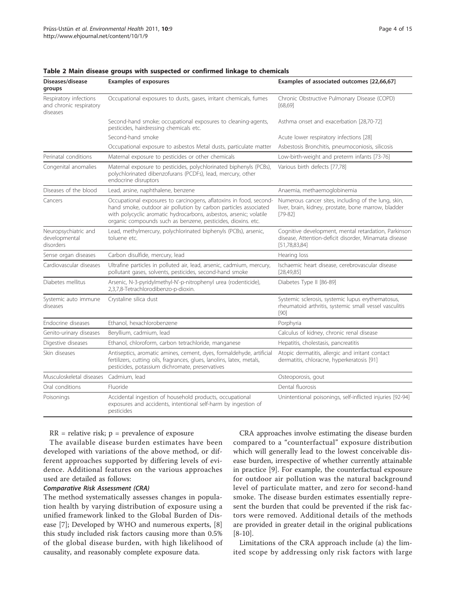| Diseases/disease<br>groups                                    | <b>Examples of exposures</b>                                                                                                                                                                                                                                                 | Examples of associated outcomes [22,66,67]                                                                                        |
|---------------------------------------------------------------|------------------------------------------------------------------------------------------------------------------------------------------------------------------------------------------------------------------------------------------------------------------------------|-----------------------------------------------------------------------------------------------------------------------------------|
| Respiratory infections<br>and chronic respiratory<br>diseases | Occupational exposures to dusts, gases, irritant chemicals, fumes                                                                                                                                                                                                            | Chronic Obstructive Pulmonary Disease (COPD)<br>[68, 69]                                                                          |
|                                                               | Second-hand smoke; occupational exposures to cleaning-agents,<br>pesticides, hairdressing chemicals etc.                                                                                                                                                                     | Asthma onset and exacerbation [28,70-72]                                                                                          |
|                                                               | Second-hand smoke                                                                                                                                                                                                                                                            | Acute lower respiratory infections [28]                                                                                           |
|                                                               | Occupational exposure to asbestos Metal dusts, particulate matter                                                                                                                                                                                                            | Asbestosis Bronchitis, pneumoconiosis, silicosis                                                                                  |
| Perinatal conditions                                          | Maternal exposure to pesticides or other chemicals                                                                                                                                                                                                                           | Low-birth-weight and preterm infants [73-76]                                                                                      |
| Congenital anomalies                                          | Maternal exposure to pesticides, polychlorinated biphenyls (PCBs),<br>polychlorinated dibenzofurans (PCDFs), lead, mercury, other<br>endocrine disruptors                                                                                                                    | Various birth defects [77,78]                                                                                                     |
| Diseases of the blood                                         | Lead, arsine, naphthalene, benzene                                                                                                                                                                                                                                           | Anaemia, methaemoglobinemia                                                                                                       |
| Cancers                                                       | Occupational exposures to carcinogens, aflatoxins in food, second-<br>hand smoke, outdoor air pollution by carbon particles associated<br>with polycyclic aromatic hydrocarbons, asbestos, arsenic; volatile<br>organic compounds such as benzene, pesticides, dioxins. etc. | Numerous cancer sites, including of the lung, skin,<br>liver, brain, kidney, prostate, bone marrow, bladder<br>$[79-82]$          |
| Neuropsychiatric and<br>developmental<br>disorders            | Lead, methylmercury, polychlorinated biphenyls (PCBs), arsenic,<br>toluene etc.                                                                                                                                                                                              | Cognitive development, mental retardation, Parkinson<br>disease, Attention-deficit disorder, Minamata disease<br>[51, 78, 83, 84] |
| Sense organ diseases                                          | Carbon disulfide, mercury, lead                                                                                                                                                                                                                                              | Hearing loss                                                                                                                      |
| Cardiovascular diseases                                       | Ultrafine particles in polluted air, lead, arsenic, cadmium, mercury,<br>pollutant gases, solvents, pesticides, second-hand smoke                                                                                                                                            | Ischaemic heart disease, cerebrovascular disease<br>[28, 49, 85]                                                                  |
| Diabetes mellitus                                             | Arsenic, N-3-pyridylmethyl-N'-p-nitrophenyl urea (rodenticide),<br>2,3,7,8-Tetrachlorodibenzo-p-dioxin.                                                                                                                                                                      | Diabetes Type II [86-89]                                                                                                          |
| Systemic auto immune<br>diseases                              | Crystaline silica dust                                                                                                                                                                                                                                                       | Systemic sclerosis, systemic lupus erythematosus,<br>rheumatoid arthritis, systemic small vessel vasculitis<br>[90]               |
| Endocrine diseases                                            | Ethanol, hexachlorobenzene                                                                                                                                                                                                                                                   | Porphyria                                                                                                                         |
| Genito-urinary diseases                                       | Beryllium, cadmium, lead                                                                                                                                                                                                                                                     | Calculus of kidney, chronic renal disease                                                                                         |
| Digestive diseases                                            | Ethanol, chloroform, carbon tetrachloride, manganese                                                                                                                                                                                                                         | Hepatitis, cholestasis, pancreatitis                                                                                              |
| Skin diseases                                                 | Antiseptics, aromatic amines, cement, dyes, formaldehyde, artificial<br>fertilizers, cutting oils, fragrances, glues, lanolins, latex, metals,<br>pesticides, potassium dichromate, preservatives                                                                            | Atopic dermatitis, allergic and irritant contact<br>dermatitis, chloracne, hyperkeratosis [91]                                    |
| Musculoskeletal diseases Cadmium, lead                        |                                                                                                                                                                                                                                                                              | Osteoporosis, gout                                                                                                                |
| Oral conditions                                               | Fluoride                                                                                                                                                                                                                                                                     | Dental fluorosis                                                                                                                  |
| Poisonings                                                    | Accidental ingestion of household products, occupational<br>exposures and accidents, intentional self-harm by ingestion of<br>pesticides                                                                                                                                     | Unintentional poisonings, self-inflicted injuries [92-94]                                                                         |

#### <span id="page-3-0"></span>Table 2 Main disease groups with suspected or confirmed linkage to chemicals

 $RR =$  relative risk;  $p =$  prevalence of exposure

The available disease burden estimates have been developed with variations of the above method, or different approaches supported by differing levels of evidence. Additional features on the various approaches used are detailed as follows:

#### Comparative Risk Assessment (CRA)

The method systematically assesses changes in population health by varying distribution of exposure using a unified framework linked to the Global Burden of Disease [\[7](#page-12-0)]; Developed by WHO and numerous experts, [[8](#page-12-0)] this study included risk factors causing more than 0.5% of the global disease burden, with high likelihood of causality, and reasonably complete exposure data.

CRA approaches involve estimating the disease burden compared to a "counterfactual" exposure distribution which will generally lead to the lowest conceivable disease burden, irrespective of whether currently attainable in practice [\[9](#page-12-0)]. For example, the counterfactual exposure for outdoor air pollution was the natural background level of particulate matter, and zero for second-hand smoke. The disease burden estimates essentially represent the burden that could be prevented if the risk factors were removed. Additional details of the methods are provided in greater detail in the original publications [[8-10](#page-12-0)].

Limitations of the CRA approach include (a) the limited scope by addressing only risk factors with large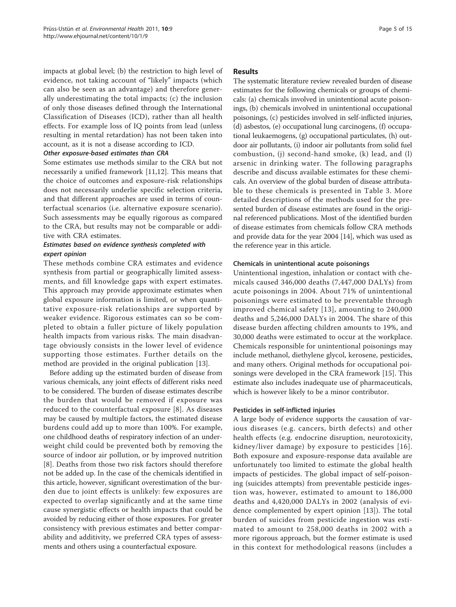impacts at global level; (b) the restriction to high level of evidence, not taking account of "likely" impacts (which can also be seen as an advantage) and therefore generally underestimating the total impacts; (c) the inclusion of only those diseases defined through the International Classification of Diseases (ICD), rather than all health effects. For example loss of IQ points from lead (unless resulting in mental retardation) has not been taken into account, as it is not a disease according to ICD.

#### Other exposure-based estimates than CRA

Some estimates use methods similar to the CRA but not necessarily a unified framework [\[11,12](#page-12-0)]. This means that the choice of outcomes and exposure-risk relationships does not necessarily underlie specific selection criteria, and that different approaches are used in terms of counterfactual scenarios (i.e. alternative exposure scenario). Such assessments may be equally rigorous as compared to the CRA, but results may not be comparable or additive with CRA estimates.

#### Estimates based on evidence synthesis completed with expert opinion

These methods combine CRA estimates and evidence synthesis from partial or geographically limited assessments, and fill knowledge gaps with expert estimates. This approach may provide approximate estimates when global exposure information is limited, or when quantitative exposure-risk relationships are supported by weaker evidence. Rigorous estimates can so be completed to obtain a fuller picture of likely population health impacts from various risks. The main disadvantage obviously consists in the lower level of evidence supporting those estimates. Further details on the method are provided in the original publication [\[13\]](#page-12-0).

Before adding up the estimated burden of disease from various chemicals, any joint effects of different risks need to be considered. The burden of disease estimates describe the burden that would be removed if exposure was reduced to the counterfactual exposure [\[8](#page-12-0)]. As diseases may be caused by multiple factors, the estimated disease burdens could add up to more than 100%. For example, one childhood deaths of respiratory infection of an underweight child could be prevented both by removing the source of indoor air pollution, or by improved nutrition [[8\]](#page-12-0). Deaths from those two risk factors should therefore not be added up. In the case of the chemicals identified in this article, however, significant overestimation of the burden due to joint effects is unlikely: few exposures are expected to overlap significantly and at the same time cause synergistic effects or health impacts that could be avoided by reducing either of those exposures. For greater consistency with previous estimates and better comparability and additivity, we preferred CRA types of assessments and others using a counterfactual exposure.

#### **Results**

The systematic literature review revealed burden of disease estimates for the following chemicals or groups of chemicals: (a) chemicals involved in unintentional acute poisonings, (b) chemicals involved in unintentional occupational poisonings, (c) pesticides involved in self-inflicted injuries, (d) asbestos, (e) occupational lung carcinogens, (f) occupational leukaemogens, (g) occupational particulates, (h) outdoor air pollutants, (i) indoor air pollutants from solid fuel combustion, (j) second-hand smoke, (k) lead, and (l) arsenic in drinking water. The following paragraphs describe and discuss available estimates for these chemicals. An overview of the global burden of disease attributable to these chemicals is presented in Table [3](#page-5-0). More detailed descriptions of the methods used for the presented burden of disease estimates are found in the original referenced publications. Most of the identified burden of disease estimates from chemicals follow CRA methods and provide data for the year 2004 [[14\]](#page-12-0), which was used as the reference year in this article.

#### Chemicals in unintentional acute poisonings

Unintentional ingestion, inhalation or contact with chemicals caused 346,000 deaths (7,447,000 DALYs) from acute poisonings in 2004. About 71% of unintentional poisonings were estimated to be preventable through improved chemical safety [[13](#page-12-0)], amounting to 240,000 deaths and 5,246,000 DALYs in 2004. The share of this disease burden affecting children amounts to 19%, and 30,000 deaths were estimated to occur at the workplace. Chemicals responsible for unintentional poisonings may include methanol, diethylene glycol, kerosene, pesticides, and many others. Original methods for occupational poisonings were developed in the CRA framework [[15](#page-12-0)]. This estimate also includes inadequate use of pharmaceuticals, which is however likely to be a minor contributor.

#### Pesticides in self-inflicted injuries

A large body of evidence supports the causation of various diseases (e.g. cancers, birth defects) and other health effects (e.g. endocrine disruption, neurotoxicity, kidney/liver damage) by exposure to pesticides [[16\]](#page-12-0). Both exposure and exposure-response data available are unfortunately too limited to estimate the global health impacts of pesticides. The global impact of self-poisoning (suicides attempts) from preventable pesticide ingestion was, however, estimated to amount to 186,000 deaths and 4,420,000 DALYs in 2002 (analysis of evidence complemented by expert opinion [[13\]](#page-12-0)). The total burden of suicides from pesticide ingestion was estimated to amount to 258,000 deaths in 2002 with a more rigorous approach, but the former estimate is used in this context for methodological reasons (includes a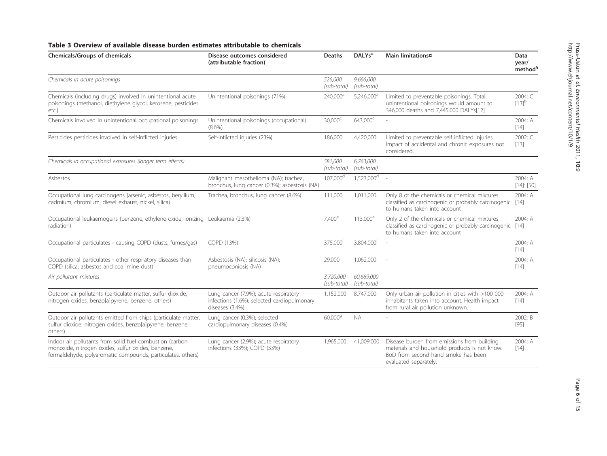# <span id="page-5-0"></span>Table 3 Overview of available disease burden estimates attributable to chemicals

| Chemicals/Groups of chemicals                                                                                                                                                 | Disease outcomes considered<br>(attributable fraction)                                                  | <b>Deaths</b>            | DALYs <sup>#</sup>        | Main limitations¤                                                                                                                                            | Data<br>year/<br>method <sup>5</sup> |
|-------------------------------------------------------------------------------------------------------------------------------------------------------------------------------|---------------------------------------------------------------------------------------------------------|--------------------------|---------------------------|--------------------------------------------------------------------------------------------------------------------------------------------------------------|--------------------------------------|
| Chemicals in acute poisonings                                                                                                                                                 |                                                                                                         | 526,000<br>(sub-total)   | 9,666,000<br>(sub-total)  |                                                                                                                                                              |                                      |
| Chemicals (including drugs) involved in unintentional acute<br>poisonings (methanol, diethylene glycol, kerosene, pesticides<br>etc.)                                         | Unintentional poisonings (71%)                                                                          | $240,000^a$              | $5,246,000^a$             | Limited to preventable poisonings. Total<br>unintentional poisonings would amount to<br>346,000 deaths and 7,445,000 DALYs[12]                               | 2004: C<br>$[13]$ <sup>b</sup>       |
| Chemicals involved in unintentional occupational poisonings                                                                                                                   | Unintentional poisonings (occupational)<br>$(8.6\%)$                                                    | $30,000^{\circ}$         | 643,000 <sup>c</sup>      |                                                                                                                                                              | 2004; A<br>$[14]$                    |
| Pesticides pesticides involved in self-inflicted injuries                                                                                                                     | Self-inflicted injuries (23%)                                                                           | 186,000                  | 4,420,000                 | Limited to preventable self inflicted injuries.<br>Impact of accidental and chronic exposures not<br>considered.                                             | 2002; C<br>$[13]$                    |
| Chemicals in occupational exposures (longer term effects)                                                                                                                     |                                                                                                         | 581,000<br>(sub-total)   | 6,763,000<br>(sub-total)  |                                                                                                                                                              |                                      |
| Asbestos                                                                                                                                                                      | Malignant mesothelioma (NA); trachea,<br>bronchus, lung cancer (0.3%); asbestosis (NA)                  | 107,000 <sup>d</sup>     | 1,523,000 <sup>d</sup>    | $\overline{\phantom{a}}$                                                                                                                                     | 2004; A<br>$[14]$ [50]               |
| Occupational lung carcinogens (arsenic, asbestos, beryllium,<br>cadmium, chromium, diesel exhaust, nickel, silica)                                                            | Trachea, bronchus, lung cancer (8.6%)                                                                   | 111,000                  | 1,011,000                 | Only 8 of the chemicals or chemical mixtures<br>classified as carcinogenic or probably carcinogenic [14]<br>to humans taken into account                     | 2004; A                              |
| Occupational leukaemogens (benzene, ethylene oxide, ionizing Leukaemia (2.3%)<br>radiation)                                                                                   |                                                                                                         | 7.400 <sup>e</sup>       | 113,000 <sup>e</sup>      | Only 2 of the chemicals or chemical mixtures<br>classified as carcinogenic or probably carcinogenic [14]<br>to humans taken into account                     | 2004; A                              |
| Occupational particulates - causing COPD (dusts, fumes/gas)                                                                                                                   | COPD (13%)                                                                                              | 375,000 <sup>t</sup>     | 3,804,000 <sup>f</sup>    |                                                                                                                                                              | 2004; A<br>$[14]$                    |
| Occupational particulates - other respiratory diseases than<br>COPD (silica, asbestos and coal mine dust)                                                                     | Asbestosis (NA); silicosis (NA);<br>pneumoconiosis (NA)                                                 | 29,000                   | 1,062,000                 | $\sim$                                                                                                                                                       | 2004; A<br>$[14]$                    |
| Air pollutant mixtures                                                                                                                                                        |                                                                                                         | 3,720,000<br>(sub-total) | 60,669,000<br>(sub-total) |                                                                                                                                                              |                                      |
| Outdoor air pollutants (particulate matter, sulfur dioxide,<br>nitrogen oxides, benzo[a]pyrene, benzene, others)                                                              | Lung cancer (7.9%); acute respiratory<br>infections (1.6%); selected cardiopulmonary<br>diseases (3.4%) | 1,152,000                | 8,747,000                 | Only urban air pollution in cities with >100 000<br>inhabitants taken into account. Health impact<br>from rural air pollution unknown.                       | 2004; A<br>$[14]$                    |
| Outdoor air pollutants emitted from ships (particulate matter,<br>sulfur dioxide, nitrogen oxides, benzo[a]pyrene, benzene,<br>others)                                        | Lung cancer (0.3%); selected<br>cardiopulmonary diseases (0.4%)                                         | 60,000 <sup>g</sup>      | <b>NA</b>                 |                                                                                                                                                              | 2002; B<br>$[95]$                    |
| Indoor air pollutants from solid fuel combustion (carbon<br>monoxide, nitrogen oxides, sulfur oxides, benzene,<br>formaldehyde, polyaromatic compounds, particulates, others) | Lung cancer (2.9%); acute respiratory<br>infections (33%); COPD (33%)                                   | 1,965,000                | 41,009,000                | Disease burden from emissions from building<br>materials and household products is not know.<br>BoD from second hand smoke has been<br>evaluated separately. | 2004; A<br>$[14]$                    |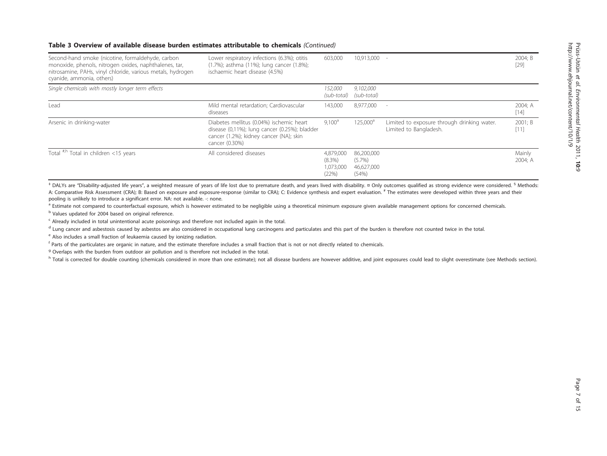#### Table 3 Overview of available disease burden estimates attributable to chemicals (Continued)

| Second-hand smoke (nicotine, formaldehyde, carbon<br>monoxide, phenols, nitrogen oxides, naphthalenes, tar,<br>nitrosamine, PAHs, vinyl chloride, various metals, hydrogen<br>cyanide, ammonia, others) | Lower respiratory infections (6.3%); otitis<br>(1.7%); asthma (11%); lung cancer (1.8%);<br>ischaemic heart disease (4.5%)                             | 603,000                                      | 10,913,000 -                                   |                                                                       | 2004; B<br>$[29]$ |
|---------------------------------------------------------------------------------------------------------------------------------------------------------------------------------------------------------|--------------------------------------------------------------------------------------------------------------------------------------------------------|----------------------------------------------|------------------------------------------------|-----------------------------------------------------------------------|-------------------|
| Single chemicals with mostly longer term effects                                                                                                                                                        |                                                                                                                                                        | 152,000<br>(sub-total)                       | 9,102,000<br>(sub-total)                       |                                                                       |                   |
| Lead                                                                                                                                                                                                    | Mild mental retardation: Cardiovascular<br>diseases                                                                                                    | 143,000                                      | 8.977.000                                      |                                                                       | 2004; A<br>$[14]$ |
| Arsenic in drinking-water                                                                                                                                                                               | Diabetes mellitus (0.04%) ischemic heart<br>disease (0,11%); lung cancer (0.25%); bladder<br>cancer (1.2%); kidney cancer (NA); skin<br>cancer (0.30%) | 9.100 <sup>a</sup>                           | $125,000^a$                                    | Limited to exposure through drinking water.<br>Limited to Bangladesh. | 2001; B<br>$[11]$ |
| Total $^{#,h}$ Total in children <15 years                                                                                                                                                              | All considered diseases                                                                                                                                | 4.879.000<br>$(8.3\%)$<br>1,073,000<br>(22%) | 86,200,000<br>$(5.7\%)$<br>46,627,000<br>(54%) |                                                                       | Mainly<br>2004; A |

<sup>‡</sup> DALYs are "Disability-adjusted life years", a weighted measure of years of life lost due to premature death, and years lived with disability. ¤ Only outcomes qualified as strong evidence were considered. <sup>§</sup> Methods: A: Comparative Risk Assessment (CRA); B: Based on exposure and exposure-response (similar to CRA); C: Evidence synthesis and expert evaluation. # The estimates were developed within three years and their pooling is unlikely to introduce a significant error. NA: not available. -: none.

<sup>a</sup> Estimate not compared to counterfactual exposure, which is however estimated to be negligible using a theoretical minimum exposure given available management options for concerned chemicals. <sup>b</sup> Values updated for 2004 based on original reference.

<sup>c</sup> Already included in total unintentional acute poisonings and therefore not included again in the total.

<sup>d</sup> Lung cancer and asbestosis caused by asbestos are also considered in occupational lung carcinogens and particulates and this part of the burden is therefore not counted twice in the total.

<sup>e</sup> Also includes a small fraction of leukaemia caused by ionizing radiation.

<sup>f</sup> Parts of the particulates are organic in nature, and the estimate therefore includes a small fraction that is not or not directly related to chemicals.

<sup>g</sup> Overlaps with the burden from outdoor air pollution and is therefore not included in the total.

h Total is corrected for double counting (chemicals considered in more than one estimate); not all disease burdens are however additive, and joint exposures could lead to slight overestimate (see Methods section).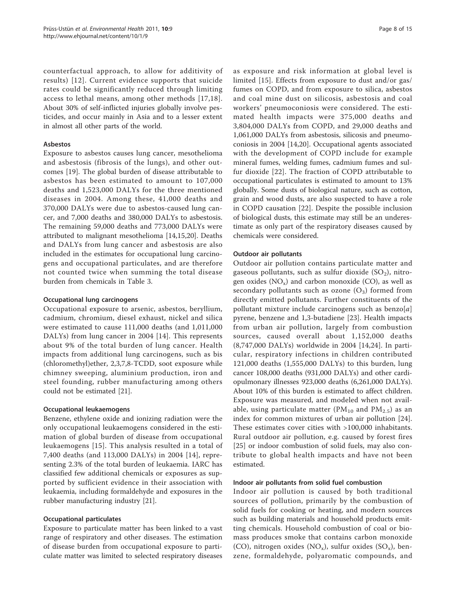counterfactual approach, to allow for additivity of results) [[12](#page-12-0)]. Current evidence supports that suicide rates could be significantly reduced through limiting access to lethal means, among other methods [[17](#page-13-0),[18\]](#page-13-0). About 30% of self-inflicted injuries globally involve pesticides, and occur mainly in Asia and to a lesser extent in almost all other parts of the world.

#### Asbestos

Exposure to asbestos causes lung cancer, mesothelioma and asbestosis (fibrosis of the lungs), and other outcomes [\[19](#page-13-0)]. The global burden of disease attributable to asbestos has been estimated to amount to 107,000 deaths and 1,523,000 DALYs for the three mentioned diseases in 2004. Among these, 41,000 deaths and 370,000 DALYs were due to asbestos-caused lung cancer, and 7,000 deaths and 380,000 DALYs to asbestosis. The remaining 59,000 deaths and 773,000 DALYs were attributed to malignant mesothelioma [[14,15,](#page-12-0)[20\]](#page-13-0). Deaths and DALYs from lung cancer and asbestosis are also included in the estimates for occupational lung carcinogens and occupational particulates, and are therefore not counted twice when summing the total disease burden from chemicals in Table [3](#page-5-0).

#### Occupational lung carcinogens

Occupational exposure to arsenic, asbestos, beryllium, cadmium, chromium, diesel exhaust, nickel and silica were estimated to cause 111,000 deaths (and 1,011,000 DALYs) from lung cancer in 2004 [\[14](#page-12-0)]. This represents about 9% of the total burden of lung cancer. Health impacts from additional lung carcinogens, such as bis (chloromethyl)ether, 2,3,7,8-TCDD, soot exposure while chimney sweeping, aluminium production, iron and steel founding, rubber manufacturing among others could not be estimated [\[21](#page-13-0)].

# Occupational leukaemogens

Benzene, ethylene oxide and ionizing radiation were the only occupational leukaemogens considered in the estimation of global burden of disease from occupational leukaemogens [\[15\]](#page-12-0). This analysis resulted in a total of 7,400 deaths (and 113,000 DALYs) in 2004 [[14](#page-12-0)], representing 2.3% of the total burden of leukaemia. IARC has classified few additional chemicals or exposures as supported by sufficient evidence in their association with leukaemia, including formaldehyde and exposures in the rubber manufacturing industry [[21](#page-13-0)].

# Occupational particulates

Exposure to particulate matter has been linked to a vast range of respiratory and other diseases. The estimation of disease burden from occupational exposure to particulate matter was limited to selected respiratory diseases as exposure and risk information at global level is limited [[15](#page-12-0)]. Effects from exposure to dust and/or gas/ fumes on COPD, and from exposure to silica, asbestos and coal mine dust on silicosis, asbestosis and coal workers' pneumoconiosis were considered. The estimated health impacts were 375,000 deaths and 3,804,000 DALYs from COPD, and 29,000 deaths and 1,061,000 DALYs from asbestosis, silicosis and pneumoconiosis in 2004 [[14,](#page-12-0)[20\]](#page-13-0). Occupational agents associated with the development of COPD include for example mineral fumes, welding fumes, cadmium fumes and sulfur dioxide [[22\]](#page-13-0). The fraction of COPD attributable to occupational particulates is estimated to amount to 13% globally. Some dusts of biological nature, such as cotton, grain and wood dusts, are also suspected to have a role in COPD causation [\[22](#page-13-0)]. Despite the possible inclusion of biological dusts, this estimate may still be an underestimate as only part of the respiratory diseases caused by chemicals were considered.

# Outdoor air pollutants

Outdoor air pollution contains particulate matter and gaseous pollutants, such as sulfur dioxide  $(SO_2)$ , nitrogen oxides  $(NO_x)$  and carbon monoxide  $(CO)$ , as well as secondary pollutants such as ozone  $(O_3)$  formed from directly emitted pollutants. Further constituents of the pollutant mixture include carcinogens such as benzo $[a]$ pyrene, benzene and 1,3-butadiene [[23\]](#page-13-0). Health impacts from urban air pollution, largely from combustion sources, caused overall about 1,152,000 deaths (8,747,000 DALYs) worldwide in 2004 [\[14](#page-12-0)[,24](#page-13-0)]. In particular, respiratory infections in children contributed 121,000 deaths (1,555,000 DALYs) to this burden, lung cancer 108,000 deaths (931,000 DALYs) and other cardiopulmonary illnesses 923,000 deaths (6,261,000 DALYs). About 10% of this burden is estimated to affect children. Exposure was measured, and modeled when not available, using particulate matter ( $PM_{10}$  and  $PM_{2.5}$ ) as an index for common mixtures of urban air pollution [\[24](#page-13-0)]. These estimates cover cities with >100,000 inhabitants. Rural outdoor air pollution, e.g. caused by forest fires [[25\]](#page-13-0) or indoor combustion of solid fuels, may also contribute to global health impacts and have not been estimated.

#### Indoor air pollutants from solid fuel combustion

Indoor air pollution is caused by both traditional sources of pollution, primarily by the combustion of solid fuels for cooking or heating, and modern sources such as building materials and household products emitting chemicals. Household combustion of coal or biomass produces smoke that contains carbon monoxide (CO), nitrogen oxides ( $NO_x$ ), sulfur oxides ( $SO_x$ ), benzene, formaldehyde, polyaromatic compounds, and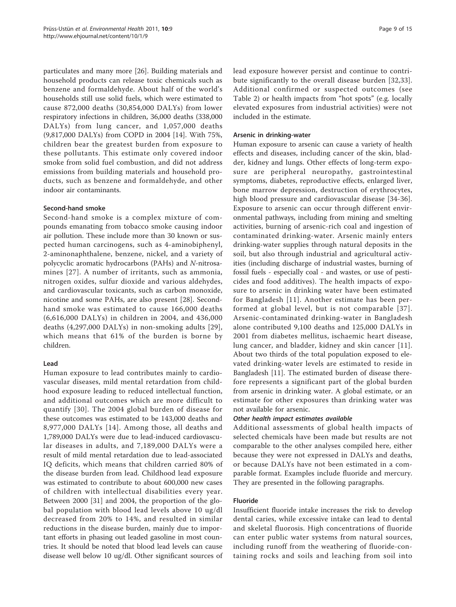particulates and many more [\[26\]](#page-13-0). Building materials and household products can release toxic chemicals such as benzene and formaldehyde. About half of the world's households still use solid fuels, which were estimated to cause 872,000 deaths (30,854,000 DALYs) from lower respiratory infections in children, 36,000 deaths (338,000 DALYs) from lung cancer, and 1,057,000 deaths (9,817,000 DALYs) from COPD in 2004 [[14\]](#page-12-0). With 75%, children bear the greatest burden from exposure to these pollutants. This estimate only covered indoor smoke from solid fuel combustion, and did not address emissions from building materials and household products, such as benzene and formaldehyde, and other indoor air contaminants.

#### Second-hand smoke

Second-hand smoke is a complex mixture of compounds emanating from tobacco smoke causing indoor air pollution. These include more than 30 known or suspected human carcinogens, such as 4-aminobiphenyl, 2-aminonaphthalene, benzene, nickel, and a variety of polycyclic aromatic hydrocarbons (PAHs) and N-nitrosamines [[27](#page-13-0)]. A number of irritants, such as ammonia, nitrogen oxides, sulfur dioxide and various aldehydes, and cardiovascular toxicants, such as carbon monoxide, nicotine and some PAHs, are also present [[28](#page-13-0)]. Secondhand smoke was estimated to cause 166,000 deaths (6,616,000 DALYs) in children in 2004, and 436,000 deaths (4,297,000 DALYs) in non-smoking adults [[29](#page-13-0)], which means that 61% of the burden is borne by children.

# Lead

Human exposure to lead contributes mainly to cardiovascular diseases, mild mental retardation from childhood exposure leading to reduced intellectual function, and additional outcomes which are more difficult to quantify [[30\]](#page-13-0). The 2004 global burden of disease for these outcomes was estimated to be 143,000 deaths and 8,977,000 DALYs [\[14](#page-12-0)]. Among those, all deaths and 1,789,000 DALYs were due to lead-induced cardiovascular diseases in adults, and 7,189,000 DALYs were a result of mild mental retardation due to lead-associated IQ deficits, which means that children carried 80% of the disease burden from lead. Childhood lead exposure was estimated to contribute to about 600,000 new cases of children with intellectual disabilities every year. Between 2000 [\[31](#page-13-0)] and 2004, the proportion of the global population with blood lead levels above 10 ug/dl decreased from 20% to 14%, and resulted in similar reductions in the disease burden, mainly due to important efforts in phasing out leaded gasoline in most countries. It should be noted that blood lead levels can cause disease well below 10 ug/dl. Other significant sources of lead exposure however persist and continue to contribute significantly to the overall disease burden [[32,33](#page-13-0)]. Additional confirmed or suspected outcomes (see Table [2](#page-3-0)) or health impacts from "hot spots" (e.g. locally elevated exposures from industrial activities) were not included in the estimate.

#### Arsenic in drinking-water

Human exposure to arsenic can cause a variety of health effects and diseases, including cancer of the skin, bladder, kidney and lungs. Other effects of long-term exposure are peripheral neuropathy, gastrointestinal symptoms, diabetes, reproductive effects, enlarged liver, bone marrow depression, destruction of erythrocytes, high blood pressure and cardiovascular disease [\[34](#page-13-0)-[36](#page-13-0)]. Exposure to arsenic can occur through different environmental pathways, including from mining and smelting activities, burning of arsenic-rich coal and ingestion of contaminated drinking-water. Arsenic mainly enters drinking-water supplies through natural deposits in the soil, but also through industrial and agricultural activities (including discharge of industrial wastes, burning of fossil fuels - especially coal - and wastes, or use of pesticides and food additives). The health impacts of exposure to arsenic in drinking water have been estimated for Bangladesh [[11](#page-12-0)]. Another estimate has been performed at global level, but is not comparable [[37\]](#page-13-0). Arsenic-contaminated drinking-water in Bangladesh alone contributed 9,100 deaths and 125,000 DALYs in 2001 from diabetes mellitus, ischaemic heart disease, lung cancer, and bladder, kidney and skin cancer [[11](#page-12-0)]. About two thirds of the total population exposed to elevated drinking-water levels are estimated to reside in Bangladesh [\[11](#page-12-0)]. The estimated burden of disease therefore represents a significant part of the global burden from arsenic in drinking water. A global estimate, or an estimate for other exposures than drinking water was not available for arsenic.

# Other health impact estimates available

Additional assessments of global health impacts of selected chemicals have been made but results are not comparable to the other analyses compiled here, either because they were not expressed in DALYs and deaths, or because DALYs have not been estimated in a comparable format. Examples include fluoride and mercury. They are presented in the following paragraphs.

# Fluoride

Insufficient fluoride intake increases the risk to develop dental caries, while excessive intake can lead to dental and skeletal fluorosis. High concentrations of fluoride can enter public water systems from natural sources, including runoff from the weathering of fluoride-containing rocks and soils and leaching from soil into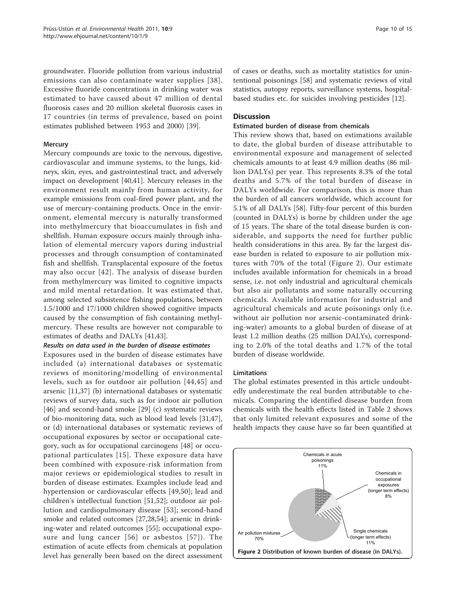<span id="page-9-0"></span>groundwater. Fluoride pollution from various industrial emissions can also contaminate water supplies [[38\]](#page-13-0). Excessive fluoride concentrations in drinking water was estimated to have caused about 47 million of dental fluorosis cases and 20 million skeletal fluorosis cases in 17 countries (in terms of prevalence, based on point estimates published between 1953 and 2000) [[39\]](#page-13-0).

#### Mercury

Mercury compounds are toxic to the nervous, digestive, cardiovascular and immune systems, to the lungs, kidneys, skin, eyes, and gastrointestinal tract, and adversely impact on development [[40,41\]](#page-13-0). Mercury releases in the environment result mainly from human activity, for example emissions from coal-fired power plant, and the use of mercury-containing products. Once in the environment, elemental mercury is naturally transformed into methylmercury that bioaccumulates in fish and shellfish. Human exposure occurs mainly through inhalation of elemental mercury vapors during industrial processes and through consumption of contaminated fish and shellfish. Transplacental exposure of the foetus may also occur [[42\]](#page-13-0). The analysis of disease burden from methylmercury was limited to cognitive impacts and mild mental retardation. It was estimated that, among selected subsistence fishing populations, between 1.5/1000 and 17/1000 children showed cognitive impacts caused by the consumption of fish containing methylmercury. These results are however not comparable to estimates of deaths and DALYs [\[41,43\]](#page-13-0).

#### Results on data used in the burden of disease estimates

Exposures used in the burden of disease estimates have included (a) international databases or systematic reviews of monitoring/modelling of environmental levels, such as for outdoor air pollution [[44](#page-13-0),[45](#page-13-0)] and arsenic [\[11](#page-12-0),[37\]](#page-13-0) (b) international databases or systematic reviews of survey data, such as for indoor air pollution [[46\]](#page-13-0) and second-hand smoke [[29\]](#page-13-0) (c) systematic reviews of bio-monitoring data, such as blood lead levels [[31,47](#page-13-0)], or (d) international databases or systematic reviews of occupational exposures by sector or occupational category, such as for occupational carcinogens [\[48](#page-13-0)] or occupational particulates [[15](#page-12-0)]. These exposure data have been combined with exposure-risk information from major reviews or epidemiological studies to result in burden of disease estimates. Examples include lead and hypertension or cardiovascular effects [[49,50\]](#page-13-0); lead and children's intellectual function [[51,52\]](#page-13-0); outdoor air pollution and cardiopulmonary disease [[53](#page-13-0)]; second-hand smoke and related outcomes [[27,28,54](#page-13-0)]; arsenic in drinking-water and related outcomes [[55\]](#page-13-0); occupational exposure and lung cancer [[56](#page-13-0)] or asbestos [[57](#page-13-0)]). The estimation of acute effects from chemicals at population level has generally been based on the direct assessment

of cases or deaths, such as mortality statistics for unintentional poisonings [\[58](#page-13-0)] and systematic reviews of vital statistics, autopsy reports, surveillance systems, hospitalbased studies etc. for suicides involving pesticides [\[12](#page-12-0)].

#### **Discussion**

# Estimated burden of disease from chemicals

This review shows that, based on estimations available to date, the global burden of disease attributable to environmental exposure and management of selected chemicals amounts to at least 4.9 million deaths (86 million DALYs) per year. This represents 8.3% of the total deaths and 5.7% of the total burden of disease in DALYs worldwide. For comparison, this is more than the burden of all cancers worldwide, which account for 5.1% of all DALYs [\[58](#page-13-0)]. Fifty-four percent of this burden (counted in DALYs) is borne by children under the age of 15 years. The share of the total disease burden is considerable, and supports the need for further public health considerations in this area. By far the largest disease burden is related to exposure to air pollution mixtures with 70% of the total (Figure 2). Our estimate includes available information for chemicals in a broad sense, i.e. not only industrial and agricultural chemicals but also air pollutants and some naturally occurring chemicals. Available information for industrial and agricultural chemicals and acute poisonings only (i.e. without air pollution nor arsenic-contaminated drinking-water) amounts to a global burden of disease of at least 1.2 million deaths (25 million DALYs), corresponding to 2.0% of the total deaths and 1.7% of the total burden of disease worldwide.

#### Limitations

The global estimates presented in this article undoubtedly underestimate the real burden attributable to chemicals. Comparing the identified disease burden from chemicals with the health effects listed in Table [2](#page-3-0) shows that only limited relevant exposures and some of the health impacts they cause have so far been quantified at

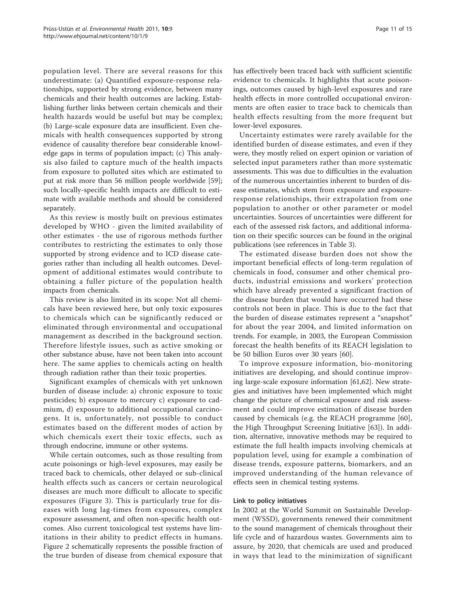population level. There are several reasons for this underestimate: (a) Quantified exposure-response relationships, supported by strong evidence, between many chemicals and their health outcomes are lacking. Establishing further links between certain chemicals and their health hazards would be useful but may be complex; (b) Large-scale exposure data are insufficient. Even chemicals with health consequences supported by strong evidence of causality therefore bear considerable knowledge gaps in terms of population impact; (c) This analysis also failed to capture much of the health impacts from exposure to polluted sites which are estimated to put at risk more than 56 million people worldwide [\[59](#page-13-0)]; such locally-specific health impacts are difficult to estimate with available methods and should be considered separately.

As this review is mostly built on previous estimates developed by WHO - given the limited availability of other estimates - the use of rigorous methods further contributes to restricting the estimates to only those supported by strong evidence and to ICD disease categories rather than including all health outcomes. Development of additional estimates would contribute to obtaining a fuller picture of the population health impacts from chemicals.

This review is also limited in its scope: Not all chemicals have been reviewed here, but only toxic exposures to chemicals which can be significantly reduced or eliminated through environmental and occupational management as described in the background section. Therefore lifestyle issues, such as active smoking or other substance abuse, have not been taken into account here. The same applies to chemicals acting on health through radiation rather than their toxic properties.

Significant examples of chemicals with yet unknown burden of disease include: a) chronic exposure to toxic pesticides; b) exposure to mercury c) exposure to cadmium, d) exposure to additional occupational carcinogens. It is, unfortunately, not possible to conduct estimates based on the different modes of action by which chemicals exert their toxic effects, such as through endocrine, immune or other systems.

While certain outcomes, such as those resulting from acute poisonings or high-level exposures, may easily be traced back to chemicals, other delayed or sub-clinical health effects such as cancers or certain neurological diseases are much more difficult to allocate to specific exposures (Figure [3](#page-11-0)). This is particularly true for diseases with long lag-times from exposures, complex exposure assessment, and often non-specific health outcomes. Also current toxicological test systems have limitations in their ability to predict effects in humans. Figure [2](#page-9-0) schematically represents the possible fraction of the true burden of disease from chemical exposure that has effectively been traced back with sufficient scientific evidence to chemicals. It highlights that acute poisonings, outcomes caused by high-level exposures and rare health effects in more controlled occupational environments are often easier to trace back to chemicals than health effects resulting from the more frequent but lower-level exposures.

Uncertainty estimates were rarely available for the identified burden of disease estimates, and even if they were, they mostly relied on expert opinion or variation of selected input parameters rather than more systematic assessments. This was due to difficulties in the evaluation of the numerous uncertainties inherent to burden of disease estimates, which stem from exposure and exposureresponse relationships, their extrapolation from one population to another or other parameter or model uncertainties. Sources of uncertainties were different for each of the assessed risk factors, and additional information on their specific sources can be found in the original publications (see references in Table [3](#page-5-0)).

The estimated disease burden does not show the important beneficial effects of long-term regulation of chemicals in food, consumer and other chemical products, industrial emissions and workers' protection which have already prevented a significant fraction of the disease burden that would have occurred had these controls not been in place. This is due to the fact that the burden of disease estimates represent a "snapshot" for about the year 2004, and limited information on trends. For example, in 2003, the European Commission forecast the health benefits of its REACH legislation to be 50 billion Euros over 30 years [[60\]](#page-13-0).

To improve exposure information, bio-monitoring initiatives are developing, and should continue improving large-scale exposure information [[61](#page-13-0)[,62](#page-14-0)]. New strategies and initiatives have been implemented which might change the picture of chemical exposure and risk assessment and could improve estimation of disease burden caused by chemicals (e.g. the REACH programme [[60](#page-13-0)], the High Throughput Screening Initiative [[63\]](#page-14-0)). In addition, alternative, innovative methods may be required to estimate the full health impacts involving chemicals at population level, using for example a combination of disease trends, exposure patterns, biomarkers, and an improved understanding of the human relevance of effects seen in chemical testing systems.

#### Link to policy initiatives

In 2002 at the World Summit on Sustainable Development (WSSD), governments renewed their commitment to the sound management of chemicals throughout their life cycle and of hazardous wastes. Governments aim to assure, by 2020, that chemicals are used and produced in ways that lead to the minimization of significant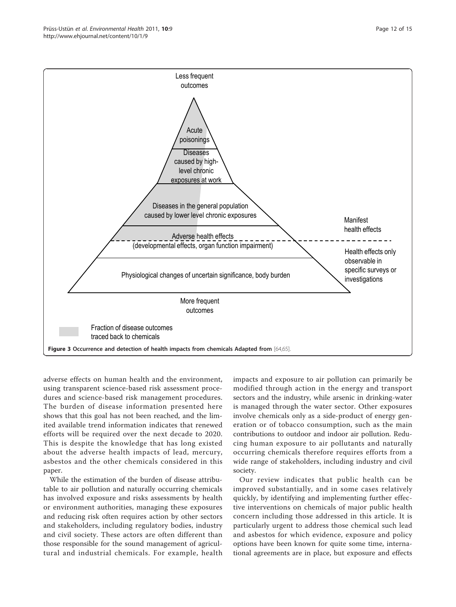<span id="page-11-0"></span>

adverse effects on human health and the environment, using transparent science-based risk assessment procedures and science-based risk management procedures. The burden of disease information presented here shows that this goal has not been reached, and the limited available trend information indicates that renewed efforts will be required over the next decade to 2020. This is despite the knowledge that has long existed about the adverse health impacts of lead, mercury, asbestos and the other chemicals considered in this paper.

While the estimation of the burden of disease attributable to air pollution and naturally occurring chemicals has involved exposure and risks assessments by health or environment authorities, managing these exposures and reducing risk often requires action by other sectors and stakeholders, including regulatory bodies, industry and civil society. These actors are often different than those responsible for the sound management of agricultural and industrial chemicals. For example, health

impacts and exposure to air pollution can primarily be modified through action in the energy and transport sectors and the industry, while arsenic in drinking-water is managed through the water sector. Other exposures involve chemicals only as a side-product of energy generation or of tobacco consumption, such as the main contributions to outdoor and indoor air pollution. Reducing human exposure to air pollutants and naturally occurring chemicals therefore requires efforts from a wide range of stakeholders, including industry and civil society.

Our review indicates that public health can be improved substantially, and in some cases relatively quickly, by identifying and implementing further effective interventions on chemicals of major public health concern including those addressed in this article. It is particularly urgent to address those chemical such lead and asbestos for which evidence, exposure and policy options have been known for quite some time, international agreements are in place, but exposure and effects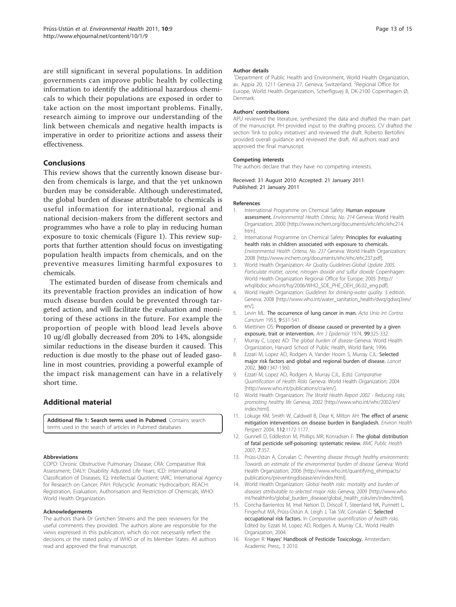<span id="page-12-0"></span>are still significant in several populations. In addition governments can improve public health by collecting information to identify the additional hazardous chemicals to which their populations are exposed in order to take action on the most important problems. Finally, research aiming to improve our understanding of the link between chemicals and negative health impacts is imperative in order to prioritize actions and assess their effectiveness.

# Conclusions

This review shows that the currently known disease burden from chemicals is large, and that the yet unknown burden may be considerable. Although underestimated, the global burden of disease attributable to chemicals is useful information for international, regional and national decision-makers from the different sectors and programmes who have a role to play in reducing human exposure to toxic chemicals (Figure [1\)](#page-1-0). This review supports that further attention should focus on investigating population health impacts from chemicals, and on the preventive measures limiting harmful exposures to chemicals.

The estimated burden of disease from chemicals and its preventable fraction provides an indication of how much disease burden could be prevented through targeted action, and will facilitate the evaluation and monitoring of these actions in the future. For example the proportion of people with blood lead levels above 10 ug/dl globally decreased from 20% to 14%, alongside similar reductions in the disease burden it caused. This reduction is due mostly to the phase out of leaded gasoline in most countries, providing a powerful example of the impact risk management can have in a relatively short time.

# Additional material

[Additional file 1: S](http://www.biomedcentral.com/content/supplementary/1476-069X-10-9-S1.PDF)earch terms used in Pubmed. Contains search terms used in the search of articles in Pubmed databases

#### Abbreviations

COPD: Chronic Obstructive Pulmonary Disease; CRA: Comparative Risk Assessment; DALY: Disability Adjusted Life Years; ICD: International Classification of Diseases; IQ: Intellectual Quotient; IARC: International Agency for Research on Cancer; PAH: Polycyclic Aromatic Hydrocarbon; REACH: Registration, Evaluation, Authorisation and Restriction of Chemicals; WHO: World Health Organization.

#### Acknowledgements

The authors thank Dr Gretchen Stevens and the peer reviewers for the useful comments they provided. The authors alone are responsible for the views expressed in this publication, which do not necessarily reflect the decisions or the stated policy of WHO or of its Member States. All authors read and approved the final manuscript.

#### Author details

<sup>1</sup>Department of Public Health and Environment, World Health Organization, av. Appia 20, 1211 Geneva 27, Geneva, Switzerland. <sup>2</sup>Regional Office for Europe, World Health Organization, Scherfigsvej 8, DK-2100 Copenhagen Ø, Denmark.

#### Authors' contributions

APU reviewed the literature, synthesized the data and drafted the main part of the manuscript. PH provided input to the drafting process. CV drafted the section 'link to policy initiatives' and reviewed the draft. Roberto Bertollini provided overall guidance and reviewed the draft. All authors read and approved the final manuscript.

#### Competing interests

The authors declare that they have no competing interests.

Received: 31 August 2010 Accepted: 21 January 2011 Published: 21 January 2011

#### References

- International Programme on Chemical Safety: Human exposure assessment. Environmental Health Criteria, No. 214 Geneva: World Health Organization; 2000 [\[http://www.inchem.org/documents/ehc/ehc/ehc214.](http://www.inchem.org/documents/ehc/ehc/ehc214.htm) [htm](http://www.inchem.org/documents/ehc/ehc/ehc214.htm)].
- 2. International Programme on Chemical Safety: Principles for evaluating health risks in children associated with exposure to chemicals. Environmental Health Criteria, No. 237 Geneva: World Health Organization; 2008 [\[http://www.inchem.org/documents/ehc/ehc/ehc237.pdf\]](http://www.inchem.org/documents/ehc/ehc/ehc237.pdf).
- 3. World Health Organization: Air Quality Guidelines-Global Update 2005. Particulate matter, ozone, nitrogen dioxide and sulfur dioxide Copenhagen: World Health Organization Regional Office for Europe; 2005 [\[http://](http://whqlibdoc.who.int/hq/2006/WHO_SDE_PHE_OEH_06.02_eng.pdf) [whqlibdoc.who.int/hq/2006/WHO\\_SDE\\_PHE\\_OEH\\_06.02\\_eng.pdf\]](http://whqlibdoc.who.int/hq/2006/WHO_SDE_PHE_OEH_06.02_eng.pdf).
- 4. World Health Organization: Guidelines for drinking-water quality. 3 edition. Geneva; 2008 [\[http://www.who.int/water\\_sanitation\\_health/dwq/gdwq3rev/](http://www.who.int/water_sanitation_health/dwq/gdwq3rev/en/) [en/](http://www.who.int/water_sanitation_health/dwq/gdwq3rev/en/)].
- 5. Levin ML: [The occurrence of lung cancer in man.](http://www.ncbi.nlm.nih.gov/pubmed/13124110?dopt=Abstract) Acta Unio Int Contra Cancrum 1953, 9:531-541.
- 6. Miettinen OS: [Proportion of disease caused or prevented by a given](http://www.ncbi.nlm.nih.gov/pubmed/4825599?dopt=Abstract) [exposure, trait or intervention.](http://www.ncbi.nlm.nih.gov/pubmed/4825599?dopt=Abstract) Am J Epidemiol 1974, 99:325-332.
- 7. Murray C, Lopez AD: The global burden of disease Geneva: World Health Organization, Harvard School of Public Health, World Bank; 1996.
- 8. Ezzati M, Lopez AD, Rodgers A, Vander Hoorn S, Murray CJL: [Selected](http://www.ncbi.nlm.nih.gov/pubmed/12423980?dopt=Abstract) [major risk factors and global and regional burden of disease.](http://www.ncbi.nlm.nih.gov/pubmed/12423980?dopt=Abstract) Lancet 2002, 360:1347-1360.
- 9. Ezzati M, Lopez AD, Rodgers A, Murray CJL, (Eds): Comparative Quantification of Health Risks Geneva: World Health Organization; 2004 [[http://www.who.int/publications/cra/en/\]](http://www.who.int/publications/cra/en/).
- 10. World Health Organization: The World Health Report 2002 Reducing risks, promoting healthy life Geneva; 2002 [[http://www.who.int/whr/2002/en/](http://www.who.int/whr/2002/en/index.html) [index.html\]](http://www.who.int/whr/2002/en/index.html).
- 11. Lokuge KM, Smith W, Caldwell B, Dear K, Milton AH: [The effect of arsenic](http://www.ncbi.nlm.nih.gov/pubmed/15289162?dopt=Abstract) [mitigation interventions on disease burden in Bangladesh.](http://www.ncbi.nlm.nih.gov/pubmed/15289162?dopt=Abstract) Environ Health Perspect 2004, 112:1172-1177.
- 12. Gunnell D, Eddleston M, Phillips MR, Konradsen F: [The global distribution](http://www.ncbi.nlm.nih.gov/pubmed/18154668?dopt=Abstract) [of fatal pesticide self-poisoning: systematic review.](http://www.ncbi.nlm.nih.gov/pubmed/18154668?dopt=Abstract) BMC Public Health 2007, 7:357.
- 13. Prüss-Ustün A, Corvalan C: Preventing disease through healthy environments: Towards an estimate of the environmental burden of disease Geneva: World Health Organization; 2006 [\[http://www.who.int/quantifying\\_ehimpacts/](http://www.who.int/quantifying_ehimpacts/publications/preventingdisease/en/index.html) [publications/preventingdisease/en/index.html\]](http://www.who.int/quantifying_ehimpacts/publications/preventingdisease/en/index.html).
- 14. World Health Organization: Global health risks: mortality and burden of diseases attributable to selected major risks Geneva; 2009 [[http://www.who.](http://www.who.int/healthinfo/global_burden_disease/global_health_risks/en/index.html) [int/healthinfo/global\\_burden\\_disease/global\\_health\\_risks/en/index.html\]](http://www.who.int/healthinfo/global_burden_disease/global_health_risks/en/index.html).
- 15. Concha-Barrientos M, Imel Nelson D, Driscoll T, Steenland NK, Punnett L, Fingerhut MA, Prüss-Üstün A, Leigh J, Tak SW, Corvalàn C: Selected occupational risk factors. In Comparative quantification of health risks. Edited by: Ezzati M, Lopez AD, Rodgers A, Murray CJL. World Health Organization; 2004.
- 16. Krieger R: Hayes' Handbook of Pesticide Toxicology. Amsterdam: Academic Press;, 3 2010.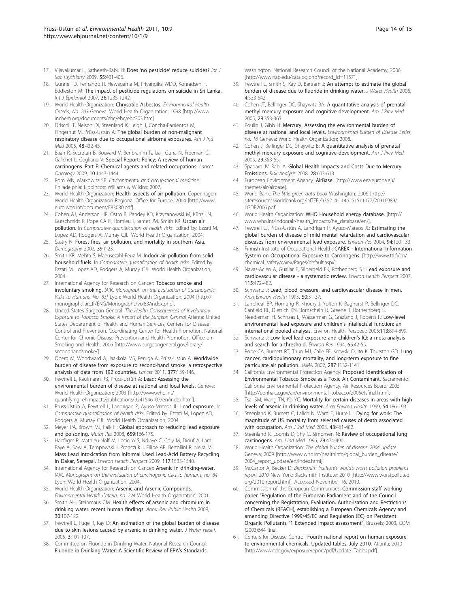- <span id="page-13-0"></span>17. Vijayakumar L, Satheesh-Babu B: Does 'no pesticide' [reduce suicides?](http://www.ncbi.nlm.nih.gov/pubmed/19617276?dopt=Abstract) Int J Soc Psychiatry 2009, 55:401-406.
- 18. Gunnell D, Fernando R, Hewagama M, Priyangika WDD, Konradsen F, Eddleston M: [The impact of pesticide regulations on suicide in Sri Lanka.](http://www.ncbi.nlm.nih.gov/pubmed/17726039?dopt=Abstract) Int J Epidemiol 2007, 36:1235-1242.
- 19. World Health Organization: Chrysotile Asbestos. Environmental Health Criteria, No. 203 Geneva: World Health Organization; 1998 [\[http://www.](http://www.inchem.org/documents/ehc/ehc/ehc203.htm) [inchem.org/documents/ehc/ehc/ehc203.htm\]](http://www.inchem.org/documents/ehc/ehc/ehc203.htm).
- 20. Driscoll T, Nelson DI, Steenland K, Leigh J, Concha-Barrientos M, Fingerhut M, Prüss-Ustün A: [The global burden of non-malignant](http://www.ncbi.nlm.nih.gov/pubmed/16299701?dopt=Abstract) [respiratory disease due to occupational airborne exposures.](http://www.ncbi.nlm.nih.gov/pubmed/16299701?dopt=Abstract) Am J Ind Med 2005, 48:432-45.
- 21. Baan R, Secretan B, Bouvard V, Benbrahim-Tallaa , Guha N, Freeman C, Galichet L, Cogliano V: Special Report: Policy; A review of human carcinogens–Part F: Chemical agents and related occupations. Lancet Oncology 2009, 10:1443-1444.
- 22. Rom WN, Markowitz SB: Environmental and occupational medicine Philadelphia: Lippincott Williams & Wilkins; 2007.
- 23. World Health Organization: Health aspects of air pollution. Copenhagen: World Health Organization Regional Office for Europe; 2004 [\[http://www.](http://www.euro.who.int/document/E83080.pdf) [euro.who.int/document/E83080.pdf](http://www.euro.who.int/document/E83080.pdf)].
- 24. Cohen AJ, Anderson HR, Ostro B, Pandey KD, Krzyzanowski M, Künzli N, Gutschmidt K, Pope CA III, Romieu I, Samet JM, Smith KR: Urban air pollution. In Comparative quantification of health risks. Edited by: Ezzati M, Lopez AD, Rodgers A, Murray CJL. World Health Organization; 2004.
- 25. Sastry N: [Forest fires, air pollution, and mortality in southern Asia.](http://www.ncbi.nlm.nih.gov/pubmed/11852832?dopt=Abstract) Demography 2002, 39:1-23.
- 26. Smith KR, Mehta S, Maeusezahl-Feuz M: Indoor air pollution from solid household fuels. In Comparative quantification of health risks. Edited by: Ezzati M, Lopez AD, Rodgers A, Murray CJL. World Health Organization; 2004.
- 27. International Agency for Research on Cancer: Tobacco smoke and involuntary smoking. IARC Monograph on the Evaluation of Carcinogenic Risks to Humans, No. 83] Lyon: World Health Organization; 2004 [\[http://](http://monographs.iarc.fr/ENG/Monographs/vol83/index.php) [monographs.iarc.fr/ENG/Monographs/vol83/index.php](http://monographs.iarc.fr/ENG/Monographs/vol83/index.php)].
- 28. United States Surgeon General: The Health Consequences of Involuntary Exposure to Tobacco Smoke: A Report of the Surgeon General Atlanta: United States Department of Health and Human Services, Centers for Disease Control and Prevention, Coordinating Center for Health Promotion, National Center for Chronic Disease Prevention and Health Promotion, Office on Smoking and Health; 2006 [[http://www.surgeongeneral.gov/library/](http://www.surgeongeneral.gov/library/secondhandsmoke/) [secondhandsmoke/\]](http://www.surgeongeneral.gov/library/secondhandsmoke/).
- 29. Öberg M, Woodward A, Jaakkola MS, Peruga A, Prüss-Ustün A: [Worldwide](http://www.ncbi.nlm.nih.gov/pubmed/21112082?dopt=Abstract) [burden of disease from exposure to second-hand smoke: a retrospective](http://www.ncbi.nlm.nih.gov/pubmed/21112082?dopt=Abstract) [analysis of data from 192 countries.](http://www.ncbi.nlm.nih.gov/pubmed/21112082?dopt=Abstract) Lancet 2011, 377:139-146.
- 30. Fewtrell L, Kaufmann RB, Prüss-Ustün A: Lead: Assessing the environmental burden of disease at national and local levels. Geneva: World Health Organization; 2003 [\[http://www.who.int/](http://www.who.int/quantifying_ehimpacts/publications/9241546107/en/index.html) [quantifying\\_ehimpacts/publications/9241546107/en/index.html\]](http://www.who.int/quantifying_ehimpacts/publications/9241546107/en/index.html).
- 31. Prüss-Ustün A, Fewtrell L, Landrigan P, Ayuso-Mateos JL: Lead exposure. In Comparative quantification of health risks. Edited by: Ezzati M, Lopez AD, Rodgers A, Murray CJL. World Health Organization; 2004.
- 32. Meyer PA, Brown MJ, Falk H: [Global approach to reducing lead exposure](http://www.ncbi.nlm.nih.gov/pubmed/18436472?dopt=Abstract) [and poisoning.](http://www.ncbi.nlm.nih.gov/pubmed/18436472?dopt=Abstract) Mutat Res 2008, 659:166-175.
- 33. Haefliger P, Mathieu-Nolf M, Lociciro S, Ndiaye C, Coly M, Diouf A, Lam Faye A, Sow A, Tempowski J, Pronczuk J, Filipe AP, Bertollini R, Neira M: [Mass Lead Intoxication from Informal Used Lead-Acid Battery Recycling](http://www.ncbi.nlm.nih.gov/pubmed/20019903?dopt=Abstract) [in Dakar, Senegal.](http://www.ncbi.nlm.nih.gov/pubmed/20019903?dopt=Abstract) Environ Health Perspect 2009, 117:1535-1540.
- 34. International Agency for Research on Cancer: Arsenic in drinking-water. IARC Monographs on the evaluation of carcinogenic risks to humans, no. 84 Lyon: World Health Organization; 2004.
- 35. World Health Organization: Arsenic and Arsenic Compounds. Environmental Health Criteria, no. 224 World Health Organization; 2001.
- 36. Smith AH, Steinmaus CM: [Health effects of arsenic and chromium in](http://www.ncbi.nlm.nih.gov/pubmed/19012537?dopt=Abstract) [drinking water: recent human findings.](http://www.ncbi.nlm.nih.gov/pubmed/19012537?dopt=Abstract) Annu Rev Public Health 2009, 30:107-122.
- 37. Fewtrell L, Fuge R, Kay D: [An estimation of the global burden of disease](http://www.ncbi.nlm.nih.gov/pubmed/16075937?dopt=Abstract) [due to skin lesions caused by arsenic in drinking water.](http://www.ncbi.nlm.nih.gov/pubmed/16075937?dopt=Abstract) J Water Health 2005, 3:101-107.
- 38. Committee on Fluoride in Drinking Water, National Research Council: Fluoride in Drinking Water: A Scientific Review of EPA's Standards.

Washington: National Research Council of the National Academy; 2006 [[http://www.nap.edu/catalog.php?record\\_id=11571\]](http://www.nap.edu/catalog.php?record_id=11571).

- 39. Fewtrell L, Smith S, Kay D, Bartram J: [An attempt to estimate the global](http://www.ncbi.nlm.nih.gov/pubmed/17176823?dopt=Abstract) [burden of disease due to fluoride in drinking water.](http://www.ncbi.nlm.nih.gov/pubmed/17176823?dopt=Abstract) J Water Health 2006, 4:533-542.
- 40. Cohen JT, Bellinger DC, Shaywitz BA: [A quantitative analysis of prenatal](http://www.ncbi.nlm.nih.gov/pubmed/16242602?dopt=Abstract) [methyl mercury exposure and cognitive development.](http://www.ncbi.nlm.nih.gov/pubmed/16242602?dopt=Abstract) Am J Prev Med 2005, 29:353-365.
- 41. Poulin J, Gibb H: Mercury: Assessing the environmental burden of disease at national and local levels. Environmental Burden of Disease Series, no. 16 Geneva: World Health Organization; 2008.
- 42. Cohen J, Bellinger DC, Shaywitz B: [A quantitative analysis of prenatal](http://www.ncbi.nlm.nih.gov/pubmed/16242602?dopt=Abstract) [methyl mercury exposure and cognitive development.](http://www.ncbi.nlm.nih.gov/pubmed/16242602?dopt=Abstract) Am J Prev Med 2005, 29:353-65.
- 43. Spadaro JV, Rabl A: [Global Health Impacts and Costs Due to Mercury](http://www.ncbi.nlm.nih.gov/pubmed/18643818?dopt=Abstract) [Emissions.](http://www.ncbi.nlm.nih.gov/pubmed/18643818?dopt=Abstract) Risk Analysis 2008, 28:603-613.
- 44. European Environment Agency: AirBase. [\[http://www.eea.europa.eu/](http://www.eea.europa.eu/themes/air/airbase) [themes/air/airbase](http://www.eea.europa.eu/themes/air/airbase)].
- 45. World Bank: The little green data book Washington; 2006 [[http://](http://siteresources.worldbank.org/INTEEI/936214-1146251511077/20916989/LGDB2006.pdf) [siteresources.worldbank.org/INTEEI/936214-1146251511077/20916989/](http://siteresources.worldbank.org/INTEEI/936214-1146251511077/20916989/LGDB2006.pdf) [LGDB2006.pdf\]](http://siteresources.worldbank.org/INTEEI/936214-1146251511077/20916989/LGDB2006.pdf).
- 46. World Health Organization: WHO Household energy database. [\[http://](http://www.who.int/indoorair/health_impacts/he_database/en/) [www.who.int/indoorair/health\\_impacts/he\\_database/en/\]](http://www.who.int/indoorair/health_impacts/he_database/en/).
- 47. Fewtrell LJ, Prüss-Ustün A, Landrigan P, Ayuso-Mateos JL: [Estimating the](http://www.ncbi.nlm.nih.gov/pubmed/14757375?dopt=Abstract) [global burden of disease of mild mental retardation and cardiovascular](http://www.ncbi.nlm.nih.gov/pubmed/14757375?dopt=Abstract) [diseases from environmental lead exposure.](http://www.ncbi.nlm.nih.gov/pubmed/14757375?dopt=Abstract) Environ Res 2004, 94:120-133.
- 48. Finnish Institute of Occupational Health: CAREX International Information System on Occupational Exposure to Carcinogens. [\[http://www.ttl.fi/en/](http://www.ttl.fi/en/chemical_safety/carex/Pages/default.aspx) [chemical\\_safety/carex/Pages/default.aspx\]](http://www.ttl.fi/en/chemical_safety/carex/Pages/default.aspx).
- 49. Navas-Acien A, Guallar E, Silbergeld EK, Rothenberg SJ: [Lead exposure and](http://www.ncbi.nlm.nih.gov/pubmed/17431501?dopt=Abstract) [cardiovascular disease - a systematic review.](http://www.ncbi.nlm.nih.gov/pubmed/17431501?dopt=Abstract) Environ Health Perspect 2007, 115:472-482.
- 50. Schwartz J: [Lead, blood pressure, and cardiovascular disease in men.](http://www.ncbi.nlm.nih.gov/pubmed/7717767?dopt=Abstract) Arch Environ Health 1995, 50:31-37.
- 51. Lanphear BP, Hornung R, Khoury J, Yolton K, Baghurst P, Bellinger DC, Canfield RL, Dietrich KN, Bornschein R, Greene T, Rothernberg S, Needleman H, Schnaas L, Wasserman G, Graziano J, Roberts R: Low-level environmental lead exposure and children's intellectual function: an international pooled analysis. Environ Health Perspect; 2005:113:894-899.
- 52. Schwartz J: [Low-level lead exposure and children](http://www.ncbi.nlm.nih.gov/pubmed/8162884?dopt=Abstract)'s IQ: a meta-analysis [and search for a threshold.](http://www.ncbi.nlm.nih.gov/pubmed/8162884?dopt=Abstract) Environ Res 1994, 65:42-55.
- 53. Pope CA, Burnett RT, Thun MJ, Calle EE, Krewski D, Ito K, Thurston GD: [Lung](http://www.ncbi.nlm.nih.gov/pubmed/11879110?dopt=Abstract) [cancer, cardiopulmonary mortality, and long-term exposure to fine](http://www.ncbi.nlm.nih.gov/pubmed/11879110?dopt=Abstract) [particulate air pollution.](http://www.ncbi.nlm.nih.gov/pubmed/11879110?dopt=Abstract) JAMA 2002, 287:1132-1141.
- 54. California Environmental Protection Agency: Proposed Identification of Environmental Tobacco Smoke as a Toxic Air Contaminant. Sacramento: California Environmental Protection Agency, Air Resources Board; 2005 [[http://oehha.ca.gov/air/environmental\\_tobacco/2005etsfinal.html](http://oehha.ca.gov/air/environmental_tobacco/2005etsfinal.html)].
- Tsai SM, Wang TN, Ko YC: [Mortality for certain diseases in areas with high](http://www.ncbi.nlm.nih.gov/pubmed/10444040?dopt=Abstract) [levels of arsenic in drinking water.](http://www.ncbi.nlm.nih.gov/pubmed/10444040?dopt=Abstract) Arch Environ Health 1999, 54:186-193.
- 56. Steenland K, Burnett C, Lalich N, Ward E, Hurrell J: [Dying for work: The](http://www.ncbi.nlm.nih.gov/pubmed/12704620?dopt=Abstract) [magnitude of US mortality from selected causes of death associated](http://www.ncbi.nlm.nih.gov/pubmed/12704620?dopt=Abstract) [with occupation.](http://www.ncbi.nlm.nih.gov/pubmed/12704620?dopt=Abstract) Am J Ind Med 2003, 43:461-482.
- 57. Steenland K, Loomis D, Shy C, Simonsen N: [Review of occupational lung](http://www.ncbi.nlm.nih.gov/pubmed/8732921?dopt=Abstract) [carcinogens.](http://www.ncbi.nlm.nih.gov/pubmed/8732921?dopt=Abstract) Am J Ind Med 1996, 29:474-490.
- 58. World Health Organization: The global burden of disease: 2004 update Geneva; 2009 [\[http://www.who.int/healthinfo/global\\_burden\\_disease/](http://www.who.int/healthinfo/global_burden_disease/2004_report_update/en/index.html) [2004\\_report\\_update/en/index.html\]](http://www.who.int/healthinfo/global_burden_disease/2004_report_update/en/index.html).
- 59. McCartor A, Becker D: Blacksmith Institute's world's worst pollution problems report 2010 New York: Blacksmith Institute; 2010 [\[http://www.worstpolluted.](http://www.worstpolluted.org/2010-report.html) [org/2010-report.html](http://www.worstpolluted.org/2010-report.html)], Accessed November 16, 2010.
- 60. Commission of the European Communities: Commission staff working paper "Regulation of the European Parliament and of the Council concerning the Registration, Evaluation, Authorisation and Restrictions of Chemicals (REACH), establishing a European Chemicals Agency and amending Directive 1999/45/EC and Regulation (EC) on Persistent Organic Pollutants "1 Extended impact assessment". Brussels; 2003, COM (2003)644 final.
- 61. Centers for Disease Control: Fourth national report on human exposure to environmental chemicals. Updated tables, July 2010. Atlanta; 2010 [[http://www.cdc.gov/exposurereport/pdf/Update\\_Tables.pdf\]](http://www.cdc.gov/exposurereport/pdf/Update_Tables.pdf).